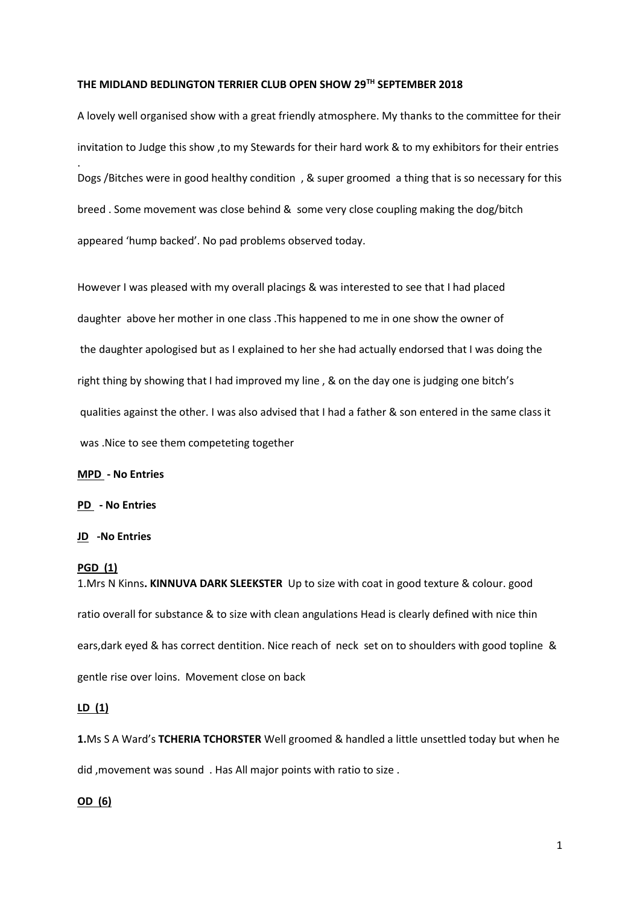# **THE MIDLAND BEDLINGTON TERRIER CLUB OPEN SHOW 29TH SEPTEMBER 2018**

A lovely well organised show with a great friendly atmosphere. My thanks to the committee for their invitation to Judge this show ,to my Stewards for their hard work & to my exhibitors for their entries . Dogs /Bitches were in good healthy condition , & super groomed a thing that is so necessary for this breed . Some movement was close behind & some very close coupling making the dog/bitch appeared 'hump backed'. No pad problems observed today.

However I was pleased with my overall placings & was interested to see that I had placed daughter above her mother in one class .This happened to me in one show the owner of the daughter apologised but as I explained to her she had actually endorsed that I was doing the right thing by showing that I had improved my line , & on the day one is judging one bitch's qualities against the other. I was also advised that I had a father & son entered in the same class it was .Nice to see them competeting together

#### **MPD - No Entries**

#### **PD - No Entries**

#### **JD -No Entries**

#### **PGD (1)**

1.Mrs N Kinns**. KINNUVA DARK SLEEKSTER** Up to size with coat in good texture & colour. good ratio overall for substance & to size with clean angulations Head is clearly defined with nice thin ears,dark eyed & has correct dentition. Nice reach of neck set on to shoulders with good topline & gentle rise over loins. Movement close on back

## **LD (1)**

**1.**Ms S A Ward's **TCHERIA TCHORSTER** Well groomed & handled a little unsettled today but when he did ,movement was sound . Has All major points with ratio to size .

#### **OD (6)**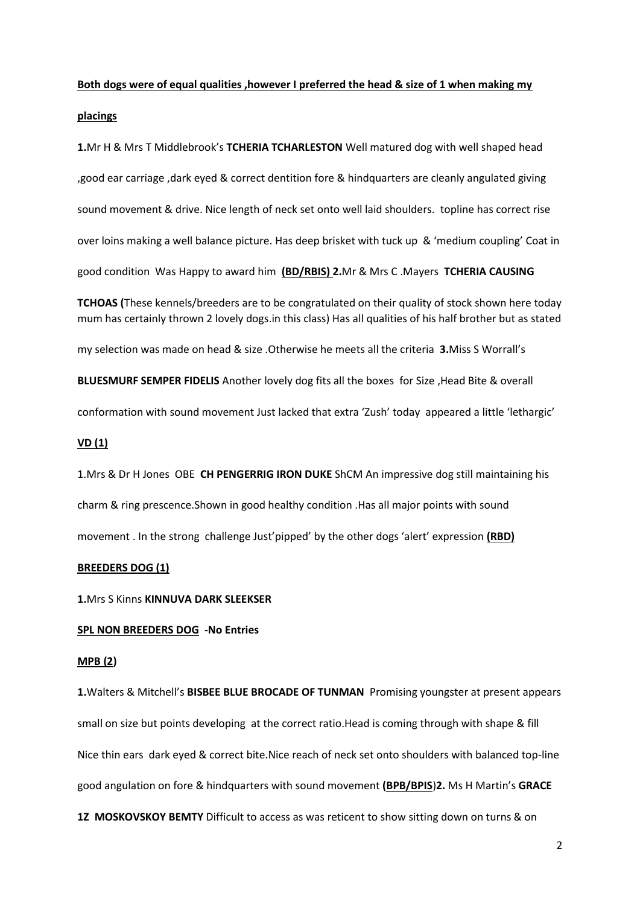# **Both dogs were of equal qualities ,however I preferred the head & size of 1 when making my**

#### **placings**

**1.**Mr H & Mrs T Middlebrook's **TCHERIA TCHARLESTON** Well matured dog with well shaped head ,good ear carriage ,dark eyed & correct dentition fore & hindquarters are cleanly angulated giving sound movement & drive. Nice length of neck set onto well laid shoulders. topline has correct rise over loins making a well balance picture. Has deep brisket with tuck up & 'medium coupling' Coat in good condition Was Happy to award him **(BD/RBIS) 2.**Mr & Mrs C .Mayers **TCHERIA CAUSING** 

**TCHOAS (**These kennels/breeders are to be congratulated on their quality of stock shown here today mum has certainly thrown 2 lovely dogs.in this class) Has all qualities of his half brother but as stated

my selection was made on head & size .Otherwise he meets all the criteria **3.**Miss S Worrall's

**BLUESMURF SEMPER FIDELIS** Another lovely dog fits all the boxes for Size ,Head Bite & overall

conformation with sound movement Just lacked that extra 'Zush' today appeared a little 'lethargic'

# **VD (1)**

1.Mrs & Dr H Jones OBE **CH PENGERRIG IRON DUKE** ShCM An impressive dog still maintaining his charm & ring prescence.Shown in good healthy condition .Has all major points with sound movement . In the strong challenge Just'pipped' by the other dogs 'alert' expression **(RBD)**

#### **BREEDERS DOG (1)**

**1.**Mrs S Kinns **KINNUVA DARK SLEEKSER**

## **SPL NON BREEDERS DOG -No Entries**

#### **MPB (2)**

**1.**Walters & Mitchell's **BISBEE BLUE BROCADE OF TUNMAN** Promising youngster at present appears small on size but points developing at the correct ratio.Head is coming through with shape & fill Nice thin ears dark eyed & correct bite.Nice reach of neck set onto shoulders with balanced top-line good angulation on fore & hindquarters with sound movement **(BPB/BPIS**)**2.** Ms H Martin's **GRACE 1Z MOSKOVSKOY BEMTY** Difficult to access as was reticent to show sitting down on turns & on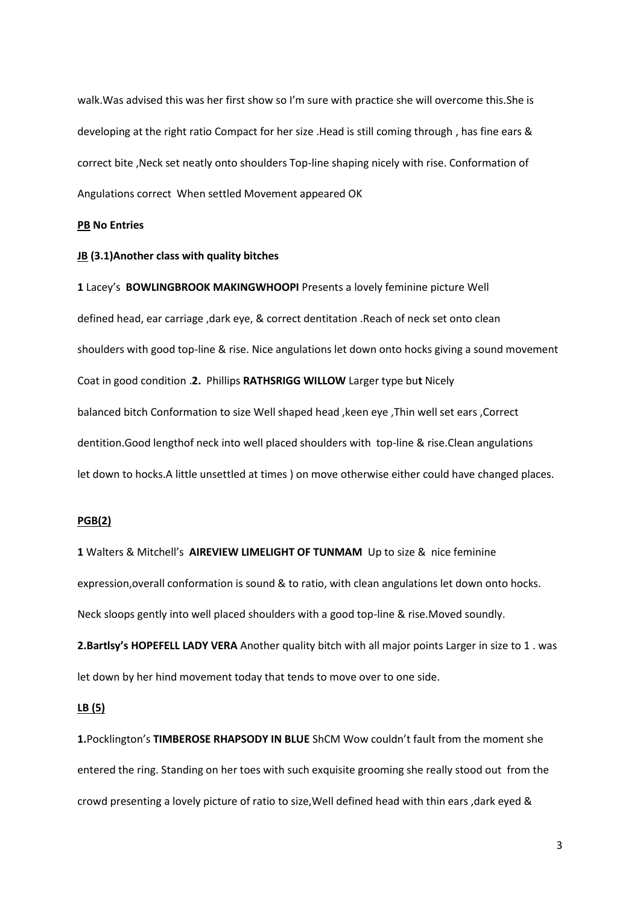walk.Was advised this was her first show so I'm sure with practice she will overcome this.She is developing at the right ratio Compact for her size .Head is still coming through , has fine ears & correct bite ,Neck set neatly onto shoulders Top-line shaping nicely with rise. Conformation of Angulations correct When settled Movement appeared OK

#### **PB No Entries**

#### **JB (3.1)Another class with quality bitches**

**1** Lacey's **BOWLINGBROOK MAKINGWHOOPI** Presents a lovely feminine picture Well defined head, ear carriage ,dark eye, & correct dentitation .Reach of neck set onto clean shoulders with good top-line & rise. Nice angulations let down onto hocks giving a sound movement Coat in good condition .**2.** Phillips **RATHSRIGG WILLOW** Larger type bu**t** Nicely balanced bitch Conformation to size Well shaped head ,keen eye ,Thin well set ears ,Correct dentition.Good lengthof neck into well placed shoulders with top-line & rise.Clean angulations let down to hocks.A little unsettled at times ) on move otherwise either could have changed places.

#### **PGB(2)**

**1** Walters & Mitchell's **AIREVIEW LIMELIGHT OF TUNMAM** Up to size & nice feminine expression,overall conformation is sound & to ratio, with clean angulations let down onto hocks. Neck sloops gently into well placed shoulders with a good top-line & rise.Moved soundly.

**2.Bartlsy's HOPEFELL LADY VERA** Another quality bitch with all major points Larger in size to 1 . was let down by her hind movement today that tends to move over to one side.

## **LB (5)**

**1.**Pocklington's **TIMBEROSE RHAPSODY IN BLUE** ShCM Wow couldn't fault from the moment she entered the ring. Standing on her toes with such exquisite grooming she really stood out from the crowd presenting a lovely picture of ratio to size,Well defined head with thin ears ,dark eyed &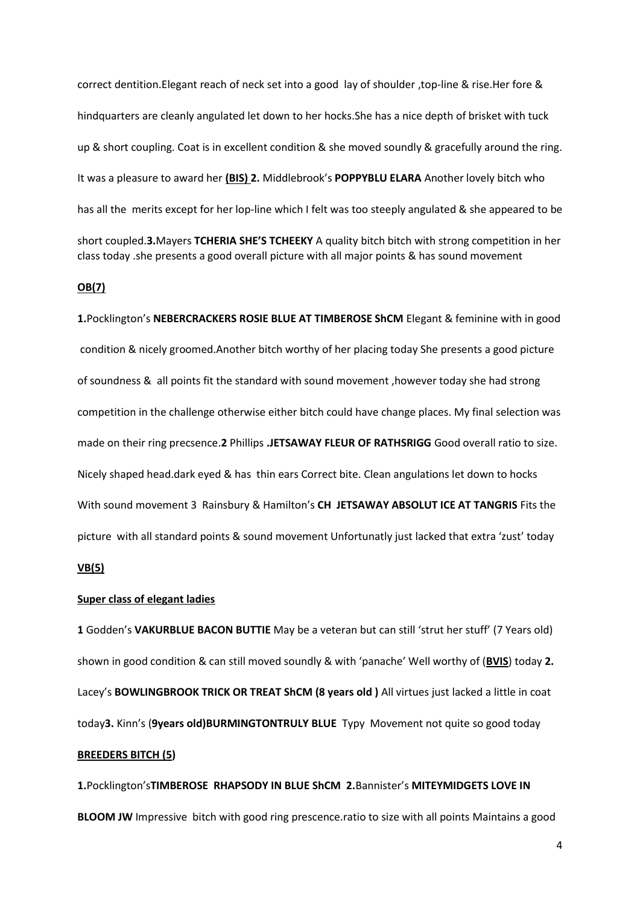correct dentition.Elegant reach of neck set into a good lay of shoulder ,top-line & rise.Her fore & hindquarters are cleanly angulated let down to her hocks.She has a nice depth of brisket with tuck up & short coupling. Coat is in excellent condition & she moved soundly & gracefully around the ring. It was a pleasure to award her **(BIS) 2.** Middlebrook's **POPPYBLU ELARA** Another lovely bitch who has all the merits except for her lop-line which I felt was too steeply angulated & she appeared to be short coupled.**3.**Mayers **TCHERIA SHE'S TCHEEKY** A quality bitch bitch with strong competition in her class today .she presents a good overall picture with all major points & has sound movement

# **OB(7)**

**1.**Pocklington's **NEBERCRACKERS ROSIE BLUE AT TIMBEROSE ShCM** Elegant & feminine with in good condition & nicely groomed.Another bitch worthy of her placing today She presents a good picture of soundness & all points fit the standard with sound movement ,however today she had strong competition in the challenge otherwise either bitch could have change places. My final selection was made on their ring precsence.**2** Phillips **.JETSAWAY FLEUR OF RATHSRIGG** Good overall ratio to size. Nicely shaped head.dark eyed & has thin ears Correct bite. Clean angulations let down to hocks With sound movement 3 Rainsbury & Hamilton's **CH JETSAWAY ABSOLUT ICE AT TANGRIS** Fits the picture with all standard points & sound movement Unfortunatly just lacked that extra 'zust' today **VB(5)**

#### **Super class of elegant ladies**

**1** Godden's **VAKURBLUE BACON BUTTIE** May be a veteran but can still 'strut her stuff' (7 Years old) shown in good condition & can still moved soundly & with 'panache' Well worthy of (**BVIS**) today **2.**  Lacey's **BOWLINGBROOK TRICK OR TREAT ShCM (8 years old )** All virtues just lacked a little in coat today**3.** Kinn's (**9years old)BURMINGTONTRULY BLUE** Typy Movement not quite so good today **BREEDERS BITCH (5)**

**1.**Pocklington's**TIMBEROSE RHAPSODY IN BLUE ShCM 2.**Bannister's **MITEYMIDGETS LOVE IN BLOOM JW** Impressive bitch with good ring prescence.ratio to size with all points Maintains a good

4